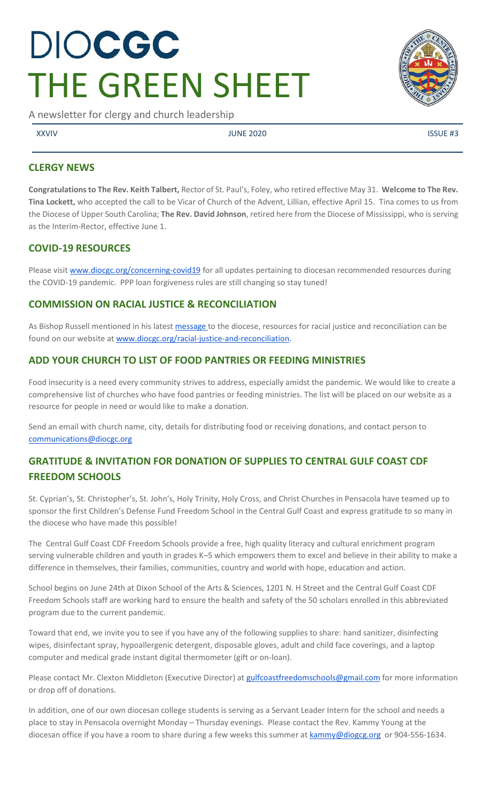# DIOCGC THE GREEN SHEET

A newsletter for clergy and church leadership

XXVIV USSUE #3

**CLERGY NEWS** 

**Congratulations to The Rev. Keith Talbert,** Rector of St. Paul's, Foley, who retired effective May 31. **Welcome to The Rev. Tina Lockett,** who accepted the call to be Vicar of Church of the Advent, Lillian, effective April 15. Tina comes to us from the Diocese of Upper South Carolina; **The Rev. David Johnson**, retired here from the Diocese of Mississippi, who is serving as the Interim-Rector, effective June 1.

# **COVID-19 RESOURCES**

Please visi[t www.diocgc.org/concerning-covid19](http://www.diocgc.org/concerning-covid19) for all updates pertaining to diocesan recommended resources during the COVID-19 pandemic. PPP loan forgiveness rules are still changing so stay tuned!

# **COMMISSION ON RACIAL JUSTICE & RECONCILIATION**

As Bishop Russell mentioned in his latest [message t](https://www.diocgc.org/post/message-from-bishop-russell-a-sunday-for-justice-and-lament)o the diocese, resources for racial justice and reconciliation can be found on our website at [www.diocgc.org/racial-justice-and-reconciliation.](http://www.diocgc.org/racial-justice-and-reconciliation)

# **ADD YOUR CHURCH TO LIST OF FOOD PANTRIES OR FEEDING MINISTRIES**

Food insecurity is a need every community strives to address, especially amidst the pandemic. We would like to create a comprehensive list of churches who have food pantries or feeding ministries. The list will be placed on our website as a resource for people in need or would like to make a donation.

Send an email with church name, city, details for distributing food or receiving donations, and contact person to [communications@diocgc.org](mailto:communications@diocgc.org)

# **GRATITUDE & INVITATION FOR DONATION OF SUPPLIES TO CENTRAL GULF COAST CDF FREEDOM SCHOOLS**

St. Cyprian's, St. Christopher's, St. John's, Holy Trinity, Holy Cross, and Christ Churches in Pensacola have teamed up to sponsor the first Children's Defense Fund Freedom School in the Central Gulf Coast and express gratitude to so many in the diocese who have made this possible!

The Central Gulf Coast CDF Freedom Schools provide a free, high quality literacy and cultural enrichment program serving vulnerable children and youth in grades K–5 which empowers them to excel and believe in their ability to make a difference in themselves, their families, communities, country and world with hope, education and action.

School begins on June 24th at Dixon School of the Arts & Sciences, 1201 N. H Street and the Central Gulf Coast CDF Freedom Schools staff are working hard to ensure the health and safety of the 50 scholars enrolled in this abbreviated program due to the current pandemic.

Toward that end, we invite you to see if you have any of the following supplies to share: hand sanitizer, disinfecting wipes, disinfectant spray, hypoallergenic detergent, disposable gloves, adult and child face coverings, and a laptop computer and medical grade instant digital thermometer (gift or on-loan).

Please contact Mr. Clexton Middleton (Executive Director) a[t gulfcoastfreedomschools@gmail.com](mailto:gulfcoastfreedomschools@gmail.com) for more information or drop off of donations.

In addition, one of our own diocesan college students is serving as a Servant Leader Intern for the school and needs a place to stay in Pensacola overnight Monday – Thursday evenings. Please contact the Rev. Kammy Young at the diocesan office if you have a room to share during a few weeks this summer at [kammy@diogcg.org](mailto:kammy@diogcg.org) or 904-556-1634.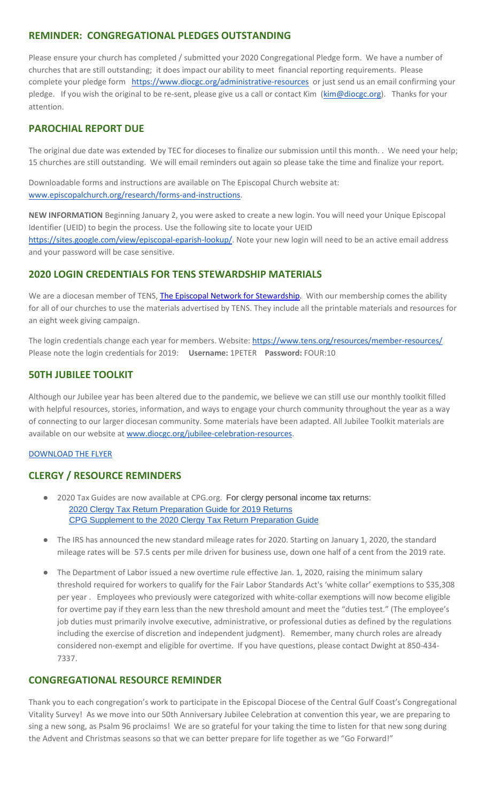# **REMINDER: CONGREGATIONAL PLEDGES OUTSTANDING**

Please ensure your church has completed / submitted your 2020 Congregational Pledge form. We have a number of churches that are still outstanding; it does impact our ability to meet financial reporting requirements. Please complete your pledge form <https://www.diocgc.org/administrative-resources>or just send us an email confirming your pledge. If you wish the original to be re-sent, please give us a call or contact Kim [\(kim@diocgc.org\)](mailto:kim@diocgc.org). Thanks for your attention.

# **PAROCHIAL REPORT DUE**

The original due date was extended by TEC for dioceses to finalize our submission until this month. . We need your help; 15 churches are still outstanding. We will email reminders out again so please take the time and finalize your report.

Downloadable forms and instructions are available on The Episcopal Church website at: [www.episcopalchurch.org/research/forms-and-instructions.](http://www.episcopalchurch.org/research/forms-and-instructions)

**NEW INFORMATION** Beginning January 2, you were asked to create a new login. You will need your Unique Episcopal Identifier (UEID) to begin the process. Use the following site to locate your UEID [https://sites.google.com/view/episcopal-eparish-lookup/.](https://sites.google.com/view/episcopal-eparish-lookup/) Note your new login will need to be an active email address and your password will be case sensitive.

# **2020 LOGIN CREDENTIALS FOR TENS STEWARDSHIP MATERIALS**

We are a diocesan member of TENS[,](http://r20.rs6.net/tn.jsp?f=0012pqt_t4bfTKnRF8Xmufb-M4Ry8JkNpVzuf-DfMr466n2fJlrEabEgWXavWDn2Hx3i5ph5cMsQu0KkvBM2IIao7IcazXgBLtGdZrXLuo4poO7i2eq_EiuExGDSC-wd1a3AjKcDRDPj18=&c=9_JBIUfw9Y9WIzA02dVBmW_Dc5eF3SbOEA5-vLB-MbLj0nQWfaMvNg==&ch=bNQQUmRhILUjCbu1RkHCQ0rqqsD1-RBYprcIQ3NuhLlaKPcsXS1TyQ==) [The Episcopal Network for Stewardship.](http://r20.rs6.net/tn.jsp?f=0012pqt_t4bfTKnRF8Xmufb-M4Ry8JkNpVzuf-DfMr466n2fJlrEabEgWXavWDn2Hx3i5ph5cMsQu0KkvBM2IIao7IcazXgBLtGdZrXLuo4poO7i2eq_EiuExGDSC-wd1a3AjKcDRDPj18=&c=9_JBIUfw9Y9WIzA02dVBmW_Dc5eF3SbOEA5-vLB-MbLj0nQWfaMvNg==&ch=bNQQUmRhILUjCbu1RkHCQ0rqqsD1-RBYprcIQ3NuhLlaKPcsXS1TyQ==) With our membership comes the ability for all of our churches to use the materials advertised by TENS. They include all the printable materials and resources for an eight week giving campaign.

The login credentials change each year for members. Website:<https://www.tens.org/resources/member-resources/> Please note the login credentials for 2019: **Username:** 1PETER **Password:** FOUR:10

# **50TH JUBILEE TOOLKIT**

Although our Jubilee year has been altered due to the pandemic, we believe we can still use our monthly toolkit filled with helpful resources, stories, information, and ways to engage your church community throughout the year as a way of connecting to our larger diocesan community. Some materials have been adapted. All Jubilee Toolkit materials are available on our website at [www.diocgc.org/jubilee-celebration-resources.](http://www.diocgc.org/jubilee-celebration-resources)

#### [DOWNLOAD THE FLYER](https://drive.google.com/file/d/105lyVxayb2fJSkYq9BolKFRXZu-UhXKU/view?usp=sharing)

## **CLERGY / RESOURCE REMINDERS**

- 2020 Tax Guides are now available at CPG.org. For clergy personal income tax returns: [2020 Clergy Tax Return Preparation Guide for 2019 Returns](https://www.cpg.org/linkservid/D998735C-CE21-6189-EB815B133ECD868A/showMeta/0/?label=2020%20Clergy%20Tax%20Return%20Preparation%20Guide%20for%202019%20Tax%20Returns) CPG Supplement to [the 2020 Clergy Tax Return Preparation Guide](https://www.cpg.org/linkservid/DA0301BC-D8CF-06D3-C4C6BAB106394432/showMeta/0/?label=Supplement%20to%20the%202020%20Clergy%20Tax%20Return%20Preparation%20Guide%20for%202019%20Returns)
- The IRS has announced the new standard mileage rates for 2020. Starting on January 1, 2020, the standard mileage rates will be 57.5 cents per mile driven for business use, down one half of a cent from the 2019 rate.
- The Department of Labor issued a new overtime rule effective Jan. 1, 2020, raising the minimum salary threshold required for workers to qualify for the Fair Labor Standards Act's 'white collar' exemptions to \$35,308 per year . Employees who previously were categorized with white-collar exemptions will now become eligible for overtime pay if they earn less than the new threshold amount and meet the "duties test." (The employee's job duties must primarily involve executive, administrative, or professional duties as defined by the regulations including the exercise of discretion and independent judgment). Remember, many church roles are already considered non-exempt and eligible for overtime. If you have questions, please contact Dwight at 850-434- 7337.

## **CONGREGATIONAL RESOURCE REMINDER**

Thank you to each congregation's work to participate in the Episcopal Diocese of the Central Gulf Coast's Congregational Vitality Survey! As we move into our 50th Anniversary Jubilee Celebration at convention this year, we are preparing to sing a new song, as Psalm 96 proclaims! We are so grateful for your taking the time to listen for that new song during the Advent and Christmas seasons so that we can better prepare for life together as we "Go Forward!"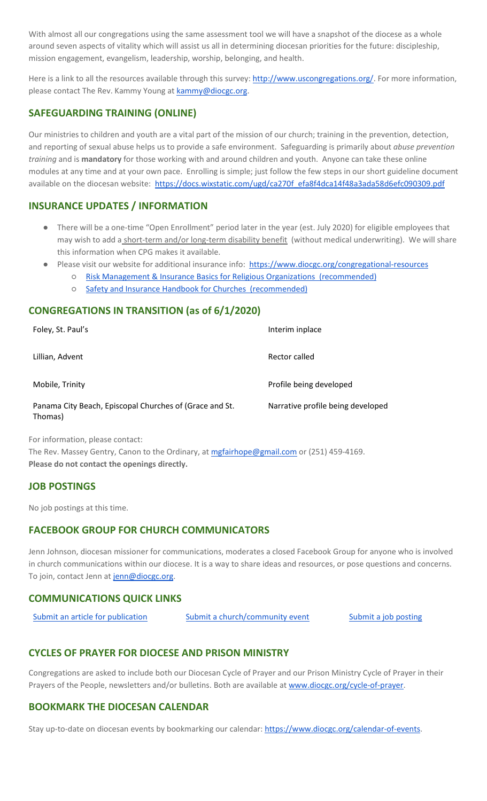With almost all our congregations using the same assessment tool we will have a snapshot of the diocese as a whole around seven aspects of vitality which will assist us all in determining diocesan priorities for the future: discipleship, mission engagement, evangelism, leadership, worship, belonging, and health.

Here is a link to all the resources available through this survey[: http://www.uscongregations.org/.](http://www.uscongregations.org/) For more information, please contact The Rev. Kammy Young at [kammy@diocgc.org.](mailto:kammy@diocgc.org)

# **SAFEGUARDING TRAINING (ONLINE)**

Our ministries to children and youth are a vital part of the mission of our church; training in the prevention, detection, and reporting of sexual abuse helps us to provide a safe environment. Safeguarding is primarily about *abuse prevention training* and is **mandatory** for those working with and around children and youth. Anyone can take these online modules at any time and at your own pace. Enrolling is simple; just follow the few steps in our short guideline document available on the diocesan website: [https://docs.wixstatic.com/ugd/ca270f\\_efa8f4dca14f48a3ada58d6efc090309.pdf](https://docs.wixstatic.com/ugd/ca270f_efa8f4dca14f48a3ada58d6efc090309.pdf)

## **INSURANCE UPDATES / INFORMATION**

- There will be a one-time "Open Enrollment" period later in the year (est. July 2020) for eligible employees that may wish to add a short-term and/or long-term disability benefit (without medical underwriting). We will share this information when CPG makes it available.
- Please visit our website for additional insurance info: <https://www.diocgc.org/congregational-resources>
	- [Risk Management & Insurance Basics for Religious Organizations \(recommended\)](https://2f23db9c-81c0-437f-88c1-0d3b99fdb03d.filesusr.com/ugd/ca270f_0fc945a39bad470191c4075c97602c08.pdf)
	- [Safety and Insurance Handbook for Churches \(recommended\)](https://2f23db9c-81c0-437f-88c1-0d3b99fdb03d.filesusr.com/ugd/4525a9_6b89020a60b040f49e2f7feb44b56873.pdf)

## **CONGREGATIONS IN TRANSITION (as of 6/1/2020)**

| Foley, St. Paul's                                                  | Interim inplace                   |
|--------------------------------------------------------------------|-----------------------------------|
| Lillian, Advent                                                    | Rector called                     |
| Mobile, Trinity                                                    | Profile being developed           |
| Panama City Beach, Episcopal Churches of (Grace and St.<br>Thomas) | Narrative profile being developed |

For information, please contact:

The Rev. Massey Gentry, Canon to the Ordinary, at [mgfairhope@gmail.com](mailto:mgfairhope@gmail.com) or (251) 459-4169. **Please do not contact the openings directly.**

## **JOB POSTINGS**

No job postings at this time.

## **FACEBOOK GROUP FOR CHURCH COMMUNICATORS**

Jenn Johnson, diocesan missioner for communications, moderates a closed Facebook Group for anyone who is involved in church communications within our diocese. It is a way to share ideas and resources, or pose questions and concerns. To join, contact Jenn at [jenn@diocgc.org.](mailto:jenn@diocgc.org)

## **COMMUNICATIONS QUICK LINKS**

| Submit an article for publication | Submit a church/community event | Submit a job posting |
|-----------------------------------|---------------------------------|----------------------|
|                                   |                                 |                      |

## **CYCLES OF PRAYER FOR DIOCESE AND PRISON MINISTRY**

Congregations are asked to include both our Diocesan Cycle of Prayer and our Prison Ministry Cycle of Prayer in their Prayers of the People, newsletters and/or bulletins. Both are available at [www.diocgc.org/cycle-of-prayer.](http://www.diocgc.org/cycle-of-prayer)

## **BOOKMARK THE DIOCESAN CALENDAR**

Stay up-to-date on diocesan events by bookmarking our calendar[: https://www.diocgc.org/calendar-of-events.](https://www.diocgc.org/calendar-of-events)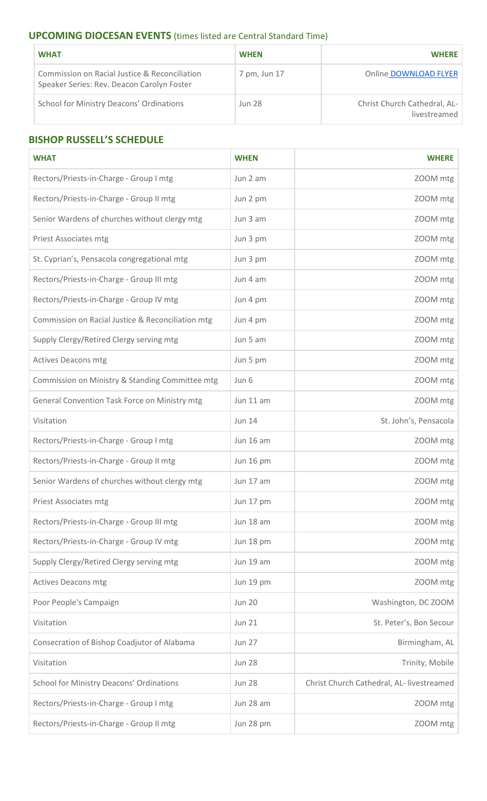# **UPCOMING DIOCESAN EVENTS** (times listed are Central Standard Time)

| <b>WHAT</b>                                                                                 | <b>WHEN</b>   | <b>WHERE</b>                                 |
|---------------------------------------------------------------------------------------------|---------------|----------------------------------------------|
| Commission on Racial Justice & Reconciliation<br>Speaker Series: Rev. Deacon Carolyn Foster | 7 pm, Jun 17  | Online DOWNLOAD FLYER                        |
| <b>School for Ministry Deacons' Ordinations</b>                                             | <b>Jun 28</b> | Christ Church Cathedral, AL-<br>livestreamed |

# **BISHOP RUSSELL'S SCHEDULE**

| <b>WHAT</b>                                       | <b>WHEN</b>   | <b>WHERE</b>                              |
|---------------------------------------------------|---------------|-------------------------------------------|
| Rectors/Priests-in-Charge - Group I mtg           | Jun 2 am      | ZOOM mtg                                  |
| Rectors/Priests-in-Charge - Group II mtg          | Jun 2 pm      | ZOOM mtg                                  |
| Senior Wardens of churches without clergy mtg     | Jun 3 am      | ZOOM mtg                                  |
| <b>Priest Associates mtg</b>                      | Jun 3 pm      | ZOOM mtg                                  |
| St. Cyprian's, Pensacola congregational mtg       | Jun 3 pm      | ZOOM mtg                                  |
| Rectors/Priests-in-Charge - Group III mtg         | Jun 4 am      | ZOOM mtg                                  |
| Rectors/Priests-in-Charge - Group IV mtg          | Jun 4 pm      | ZOOM mtg                                  |
| Commission on Racial Justice & Reconciliation mtg | Jun 4 pm      | ZOOM mtg                                  |
| Supply Clergy/Retired Clergy serving mtg          | Jun 5 am      | ZOOM mtg                                  |
| <b>Actives Deacons mtg</b>                        | Jun 5 pm      | ZOOM mtg                                  |
| Commission on Ministry & Standing Committee mtg   | Jun 6         | ZOOM mtg                                  |
| General Convention Task Force on Ministry mtg     | Jun 11 am     | ZOOM mtg                                  |
| Visitation                                        | <b>Jun 14</b> | St. John's, Pensacola                     |
| Rectors/Priests-in-Charge - Group I mtg           | Jun 16 am     | ZOOM mtg                                  |
| Rectors/Priests-in-Charge - Group II mtg          | Jun 16 pm     | ZOOM mtg                                  |
| Senior Wardens of churches without clergy mtg     | Jun 17 am     | ZOOM mtg                                  |
| Priest Associates mtg                             | Jun 17 pm     | ZOOM mtg                                  |
| Rectors/Priests-in-Charge - Group III mtg         | Jun 18 am     | ZOOM mtg                                  |
| Rectors/Priests-in-Charge - Group IV mtg          | Jun 18 pm     | ZOOM mtg                                  |
| Supply Clergy/Retired Clergy serving mtg          | Jun 19 am     | ZOOM mtg                                  |
| <b>Actives Deacons mtg</b>                        | Jun 19 pm     | ZOOM mtg                                  |
| Poor People's Campaign                            | <b>Jun 20</b> | Washington, DC ZOOM                       |
| Visitation                                        | <b>Jun 21</b> | St. Peter's, Bon Secour                   |
| Consecration of Bishop Coadjutor of Alabama       | <b>Jun 27</b> | Birmingham, AL                            |
| Visitation                                        | <b>Jun 28</b> | Trinity, Mobile                           |
| School for Ministry Deacons' Ordinations          | <b>Jun 28</b> | Christ Church Cathedral, AL- livestreamed |
| Rectors/Priests-in-Charge - Group I mtg           | Jun 28 am     | ZOOM mtg                                  |
| Rectors/Priests-in-Charge - Group II mtg          | Jun 28 pm     | ZOOM mtg                                  |